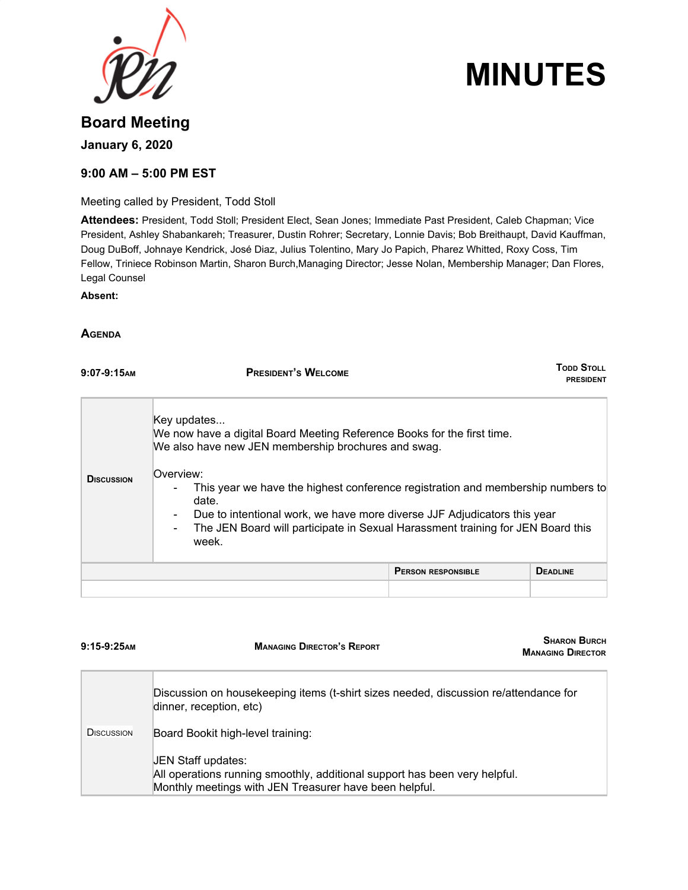

# **MINUTES**

# **Board Meeting January 6, 2020**

#### **9:00 AM – 5:00 PM EST**

Meeting called by President, Todd Stoll

**Attendees:** President, Todd Stoll; President Elect, Sean Jones; Immediate Past President, Caleb Chapman; Vice President, Ashley Shabankareh; Treasurer, Dustin Rohrer; Secretary, Lonnie Davis; Bob Breithaupt, David Kauffman, Doug DuBoff, Johnaye Kendrick, José Diaz, Julius Tolentino, Mary Jo Papich, Pharez Whitted, Roxy Coss, Tim Fellow, Triniece Robinson Martin, Sharon Burch,Managing Director; Jesse Nolan, Membership Manager; Dan Flores, Legal Counsel

**Absent:**

#### **AGENDA**

| $9:07-9:15$ AM    | <b>PRESIDENT'S WELCOME</b>                                                                                                                                                                                                                                                                                                                                                                                                                                                                     | TODD STOLL<br><b>PRESIDENT</b> |
|-------------------|------------------------------------------------------------------------------------------------------------------------------------------------------------------------------------------------------------------------------------------------------------------------------------------------------------------------------------------------------------------------------------------------------------------------------------------------------------------------------------------------|--------------------------------|
| <b>DISCUSSION</b> | Key updates<br>We now have a digital Board Meeting Reference Books for the first time.<br>We also have new JEN membership brochures and swag.<br>Overview:<br>This year we have the highest conference registration and membership numbers to<br>$\overline{\phantom{a}}$<br>date.<br>Due to intentional work, we have more diverse JJF Adjudicators this year<br>$\blacksquare$<br>The JEN Board will participate in Sexual Harassment training for JEN Board this<br>$\blacksquare$<br>week. |                                |
|                   | <b>PERSON RESPONSIBLE</b>                                                                                                                                                                                                                                                                                                                                                                                                                                                                      | <b>DEADLINE</b>                |
|                   |                                                                                                                                                                                                                                                                                                                                                                                                                                                                                                |                                |

| $9:15-9:25$ AM    | <b>MANAGING DIRECTOR'S REPORT</b>                                                                                                                          | <b>SHARON BURCH</b><br><b>MANAGING DIRECTOR</b> |
|-------------------|------------------------------------------------------------------------------------------------------------------------------------------------------------|-------------------------------------------------|
|                   | Discussion on housekeeping items (t-shirt sizes needed, discussion re/attendance for<br>dinner, reception, etc)                                            |                                                 |
| <b>DISCUSSION</b> | Board Bookit high-level training:                                                                                                                          |                                                 |
|                   | JEN Staff updates:<br>All operations running smoothly, additional support has been very helpful.<br>Monthly meetings with JEN Treasurer have been helpful. |                                                 |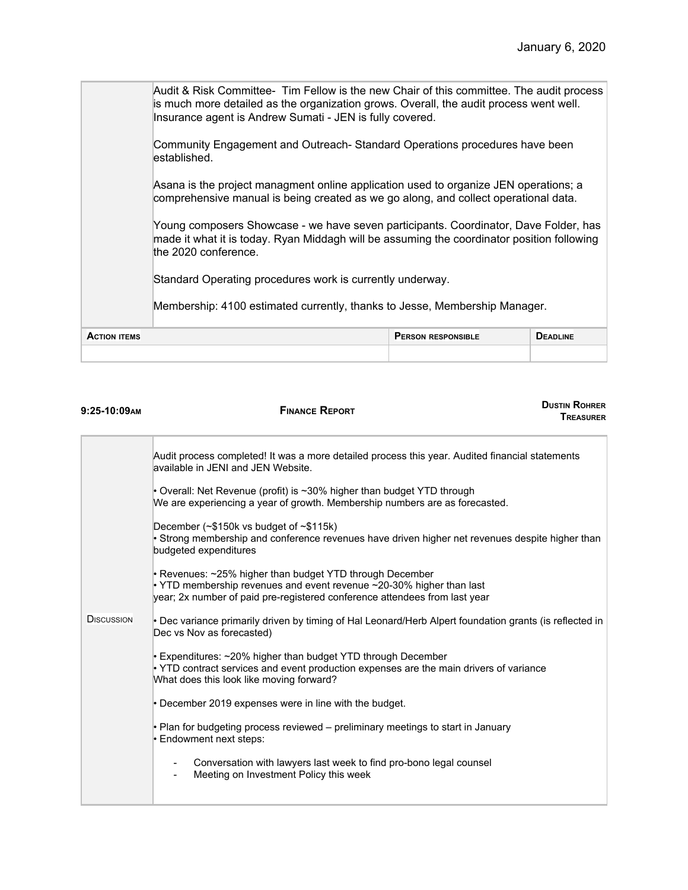|                                                  | Audit & Risk Committee- Tim Fellow is the new Chair of this committee. The audit process<br>is much more detailed as the organization grows. Overall, the audit process went well.<br>Insurance agent is Andrew Sumati - JEN is fully covered.<br>Community Engagement and Outreach- Standard Operations procedures have been<br>lestablished.                                            |                 |  |
|--------------------------------------------------|-------------------------------------------------------------------------------------------------------------------------------------------------------------------------------------------------------------------------------------------------------------------------------------------------------------------------------------------------------------------------------------------|-----------------|--|
|                                                  | Asana is the project managment online application used to organize JEN operations; a<br>comprehensive manual is being created as we go along, and collect operational data.<br>Young composers Showcase - we have seven participants. Coordinator, Dave Folder, has<br>made it what it is today. Ryan Middagh will be assuming the coordinator position following<br>the 2020 conference. |                 |  |
|                                                  | Standard Operating procedures work is currently underway.<br>Membership: 4100 estimated currently, thanks to Jesse, Membership Manager.                                                                                                                                                                                                                                                   |                 |  |
| <b>ACTION ITEMS</b><br><b>PERSON RESPONSIBLE</b> |                                                                                                                                                                                                                                                                                                                                                                                           | <b>DEADLINE</b> |  |

| <b>DUSTIN ROHRER</b><br><b>FINANCE REPORT</b><br><b>TREASURER</b>                                                                                                                                              |
|----------------------------------------------------------------------------------------------------------------------------------------------------------------------------------------------------------------|
| Audit process completed! It was a more detailed process this year. Audited financial statements<br>available in JENI and JEN Website.                                                                          |
| • Overall: Net Revenue (profit) is ~30% higher than budget YTD through<br>We are experiencing a year of growth. Membership numbers are as forecasted.                                                          |
| December $(\sim$ \$150k vs budget of $\sim$ \$115k)<br>• Strong membership and conference revenues have driven higher net revenues despite higher than<br>budgeted expenditures                                |
| • Revenues: ~25% higher than budget YTD through December<br>• YTD membership revenues and event revenue ~20-30% higher than last<br>year; 2x number of paid pre-registered conference attendees from last year |
| • Dec variance primarily driven by timing of Hal Leonard/Herb Alpert foundation grants (is reflected in<br>Dec vs Nov as forecasted)                                                                           |
| Expenditures: ~20% higher than budget YTD through December<br>• YTD contract services and event production expenses are the main drivers of variance<br>What does this look like moving forward?               |
| • December 2019 expenses were in line with the budget.                                                                                                                                                         |
| • Plan for budgeting process reviewed – preliminary meetings to start in January<br>• Endowment next steps:                                                                                                    |
| Conversation with lawyers last week to find pro-bono legal counsel<br>Meeting on Investment Policy this week                                                                                                   |
|                                                                                                                                                                                                                |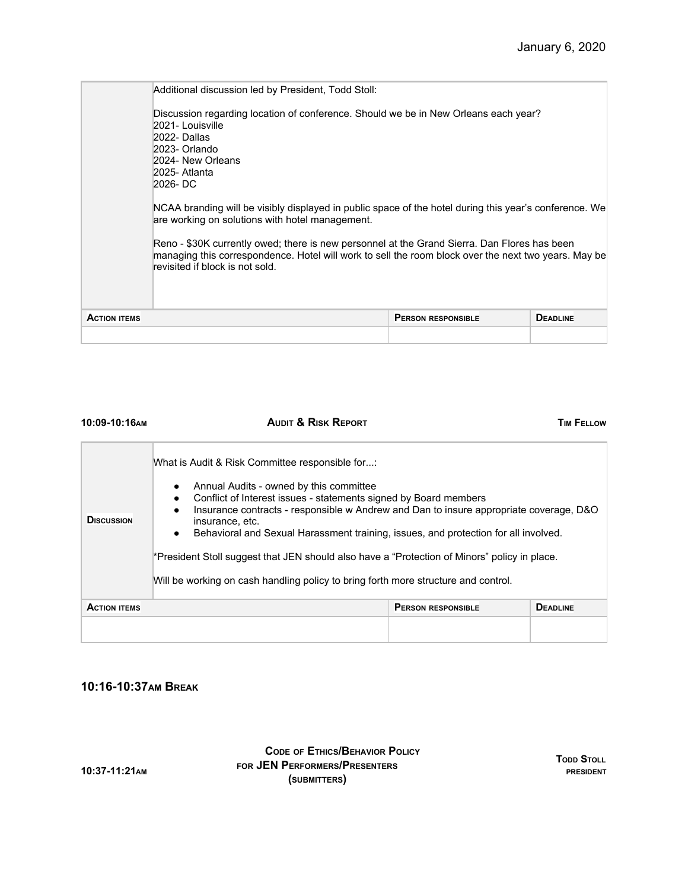|                     | Additional discussion led by President, Todd Stoll:<br>Discussion regarding location of conference. Should we be in New Orleans each year?<br>2021- Louisville<br>2022- Dallas<br>2023- Orlando<br>2024- New Orleans<br>2025- Atlanta<br>2026-DC<br>NCAA branding will be visibly displayed in public space of the hotel during this year's conference. We<br>are working on solutions with hotel management.<br>Reno - \$30K currently owed; there is new personnel at the Grand Sierra. Dan Flores has been<br>managing this correspondence. Hotel will work to sell the room block over the next two years. May be<br>revisited if block is not sold. |                           |                 |
|---------------------|----------------------------------------------------------------------------------------------------------------------------------------------------------------------------------------------------------------------------------------------------------------------------------------------------------------------------------------------------------------------------------------------------------------------------------------------------------------------------------------------------------------------------------------------------------------------------------------------------------------------------------------------------------|---------------------------|-----------------|
| <b>ACTION ITEMS</b> |                                                                                                                                                                                                                                                                                                                                                                                                                                                                                                                                                                                                                                                          | <b>PERSON RESPONSIBLE</b> | <b>DEADLINE</b> |
|                     |                                                                                                                                                                                                                                                                                                                                                                                                                                                                                                                                                                                                                                                          |                           |                 |

| 10:09-10:16AM       | <b>AUDIT &amp; RISK REPORT</b>                                                                                                                                                                                                                                                                                                                                                                                                                                                                                                                                                     |                           | <b>TIM FELLOW</b> |
|---------------------|------------------------------------------------------------------------------------------------------------------------------------------------------------------------------------------------------------------------------------------------------------------------------------------------------------------------------------------------------------------------------------------------------------------------------------------------------------------------------------------------------------------------------------------------------------------------------------|---------------------------|-------------------|
| <b>DISCUSSION</b>   | What is Audit & Risk Committee responsible for:<br>Annual Audits - owned by this committee<br>$\bullet$<br>Conflict of Interest issues - statements signed by Board members<br>Insurance contracts - responsible w Andrew and Dan to insure appropriate coverage, D&O<br>insurance, etc.<br>Behavioral and Sexual Harassment training, issues, and protection for all involved.<br>$\bullet$<br>*President Stoll suggest that JEN should also have a "Protection of Minors" policy in place.<br>Will be working on cash handling policy to bring forth more structure and control. |                           |                   |
| <b>ACTION ITEMS</b> |                                                                                                                                                                                                                                                                                                                                                                                                                                                                                                                                                                                    | <b>PERSON RESPONSIBLE</b> | <b>DEADLINE</b>   |
|                     |                                                                                                                                                                                                                                                                                                                                                                                                                                                                                                                                                                                    |                           |                   |

## **10:16-10:37AM BREAK**

**CODE OF ETHICS/BEHAVIOR POLICY FOR JEN PERFORMERS/PRESENTERS (SUBMITTERS)**

**TODD STOLL PRESIDENT**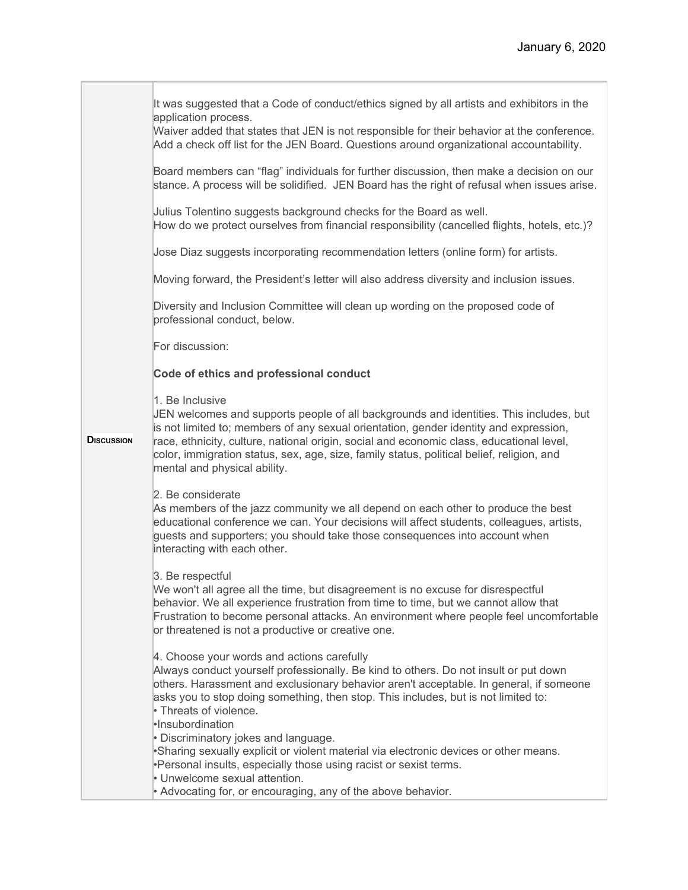|                   | It was suggested that a Code of conduct/ethics signed by all artists and exhibitors in the<br>application process.<br>Waiver added that states that JEN is not responsible for their behavior at the conference.<br>Add a check off list for the JEN Board. Questions around organizational accountability.<br>Board members can "flag" individuals for further discussion, then make a decision on our<br>stance. A process will be solidified. JEN Board has the right of refusal when issues arise.<br>Julius Tolentino suggests background checks for the Board as well.<br>How do we protect ourselves from financial responsibility (cancelled flights, hotels, etc.)?<br>Jose Diaz suggests incorporating recommendation letters (online form) for artists.<br>Moving forward, the President's letter will also address diversity and inclusion issues. |
|-------------------|----------------------------------------------------------------------------------------------------------------------------------------------------------------------------------------------------------------------------------------------------------------------------------------------------------------------------------------------------------------------------------------------------------------------------------------------------------------------------------------------------------------------------------------------------------------------------------------------------------------------------------------------------------------------------------------------------------------------------------------------------------------------------------------------------------------------------------------------------------------|
|                   | Diversity and Inclusion Committee will clean up wording on the proposed code of<br>professional conduct, below.                                                                                                                                                                                                                                                                                                                                                                                                                                                                                                                                                                                                                                                                                                                                                |
|                   | For discussion:                                                                                                                                                                                                                                                                                                                                                                                                                                                                                                                                                                                                                                                                                                                                                                                                                                                |
|                   | Code of ethics and professional conduct                                                                                                                                                                                                                                                                                                                                                                                                                                                                                                                                                                                                                                                                                                                                                                                                                        |
| <b>DISCUSSION</b> | 1. Be Inclusive<br>JEN welcomes and supports people of all backgrounds and identities. This includes, but<br>is not limited to; members of any sexual orientation, gender identity and expression,<br>race, ethnicity, culture, national origin, social and economic class, educational level,<br>color, immigration status, sex, age, size, family status, political belief, religion, and<br>mental and physical ability.                                                                                                                                                                                                                                                                                                                                                                                                                                    |
|                   | 2. Be considerate<br>As members of the jazz community we all depend on each other to produce the best<br>educational conference we can. Your decisions will affect students, colleagues, artists,<br>guests and supporters; you should take those consequences into account when<br>interacting with each other.                                                                                                                                                                                                                                                                                                                                                                                                                                                                                                                                               |
|                   | 3. Be respectful<br>We won't all agree all the time, but disagreement is no excuse for disrespectful<br>behavior. We all experience frustration from time to time, but we cannot allow that<br>Frustration to become personal attacks. An environment where people feel uncomfortable<br>or threatened is not a productive or creative one.                                                                                                                                                                                                                                                                                                                                                                                                                                                                                                                    |
|                   | 4. Choose your words and actions carefully<br>Always conduct yourself professionally. Be kind to others. Do not insult or put down<br>others. Harassment and exclusionary behavior aren't acceptable. In general, if someone<br>asks you to stop doing something, then stop. This includes, but is not limited to:<br>• Threats of violence.<br>·Insubordination                                                                                                                                                                                                                                                                                                                                                                                                                                                                                               |
|                   | • Discriminatory jokes and language.<br>•Sharing sexually explicit or violent material via electronic devices or other means.<br>•Personal insults, especially those using racist or sexist terms.<br>• Unwelcome sexual attention.<br>• Advocating for, or encouraging, any of the above behavior.                                                                                                                                                                                                                                                                                                                                                                                                                                                                                                                                                            |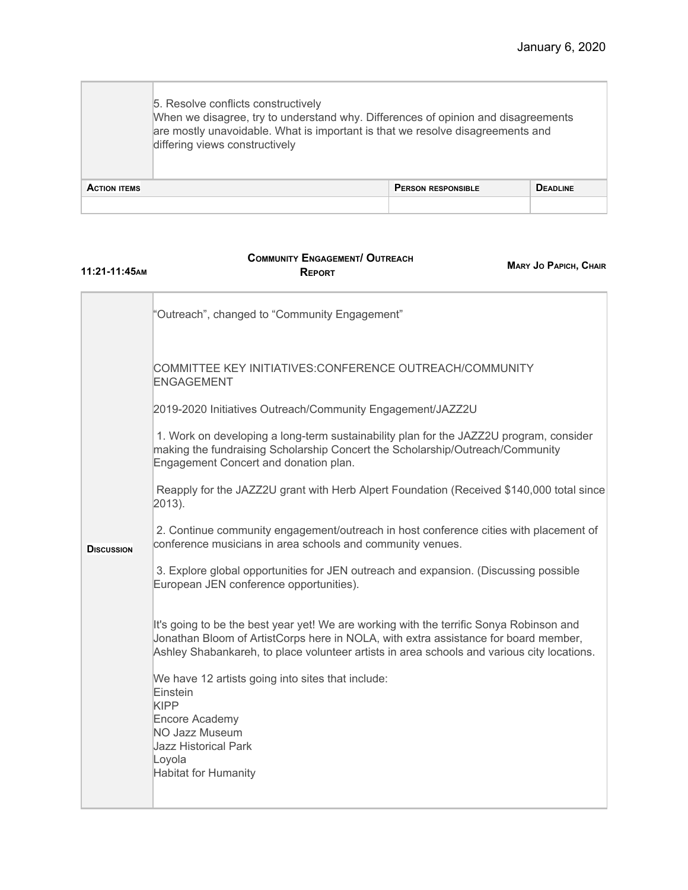|                     | 5. Resolve conflicts constructively<br>When we disagree, try to understand why. Differences of opinion and disagreements<br>are mostly unavoidable. What is important is that we resolve disagreements and<br>differing views constructively |                           |                 |
|---------------------|----------------------------------------------------------------------------------------------------------------------------------------------------------------------------------------------------------------------------------------------|---------------------------|-----------------|
| <b>ACTION ITEMS</b> |                                                                                                                                                                                                                                              | <b>PERSON RESPONSIBLE</b> | <b>DEADLINE</b> |
|                     |                                                                                                                                                                                                                                              |                           |                 |

#### **COMMUNITY ENGAGEMENT/ OUTREACH REPORT**

**11:21-11:45AM**

**MARY JO PAPICH, CHAIR**

|                   | "Outreach", changed to "Community Engagement"                                                                                                                                                                                                                                |
|-------------------|------------------------------------------------------------------------------------------------------------------------------------------------------------------------------------------------------------------------------------------------------------------------------|
|                   | COMMITTEE KEY INITIATIVES:CONFERENCE OUTREACH/COMMUNITY<br><b>ENGAGEMENT</b>                                                                                                                                                                                                 |
|                   | 2019-2020 Initiatives Outreach/Community Engagement/JAZZ2U                                                                                                                                                                                                                   |
|                   | 1. Work on developing a long-term sustainability plan for the JAZZ2U program, consider<br>making the fundraising Scholarship Concert the Scholarship/Outreach/Community<br>Engagement Concert and donation plan.                                                             |
|                   | Reapply for the JAZZ2U grant with Herb Alpert Foundation (Received \$140,000 total since<br>$2013$ ).                                                                                                                                                                        |
| <b>DISCUSSION</b> | 2. Continue community engagement/outreach in host conference cities with placement of<br>conference musicians in area schools and community venues.                                                                                                                          |
|                   | 3. Explore global opportunities for JEN outreach and expansion. (Discussing possible<br>European JEN conference opportunities).                                                                                                                                              |
|                   | It's going to be the best year yet! We are working with the terrific Sonya Robinson and<br>Jonathan Bloom of ArtistCorps here in NOLA, with extra assistance for board member,<br>Ashley Shabankareh, to place volunteer artists in area schools and various city locations. |
|                   | We have 12 artists going into sites that include:<br>Einstein<br><b>KIPP</b>                                                                                                                                                                                                 |
|                   | Encore Academy<br>NO Jazz Museum<br><b>Jazz Historical Park</b>                                                                                                                                                                                                              |
|                   | Loyola<br><b>Habitat for Humanity</b>                                                                                                                                                                                                                                        |
|                   |                                                                                                                                                                                                                                                                              |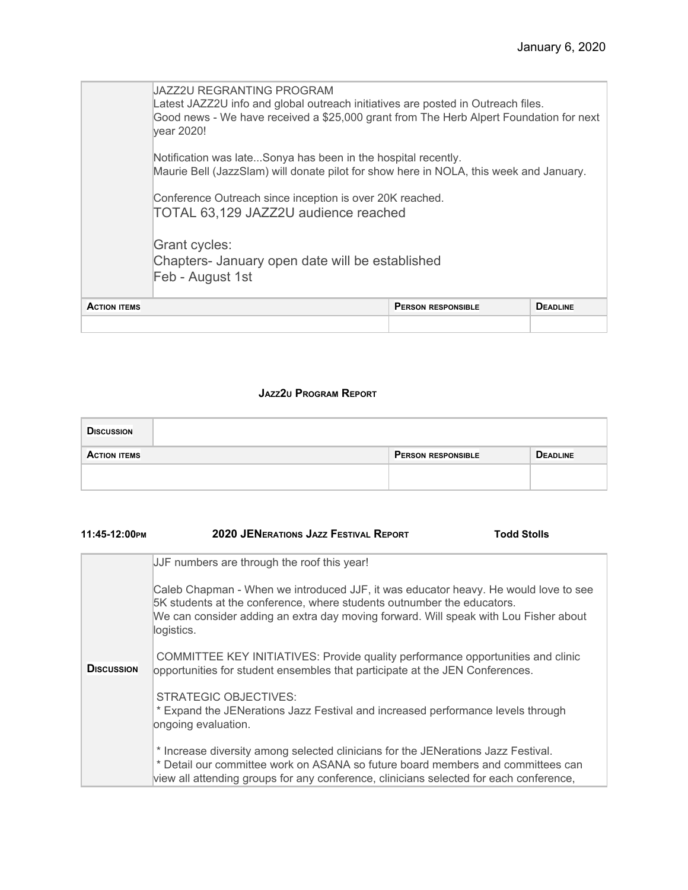|                     | JAZZ2U REGRANTING PROGRAM<br>Latest JAZZ2U info and global outreach initiatives are posted in Outreach files.<br>Good news - We have received a \$25,000 grant from The Herb Alpert Foundation for next<br>vear 2020! |                           |                 |
|---------------------|-----------------------------------------------------------------------------------------------------------------------------------------------------------------------------------------------------------------------|---------------------------|-----------------|
|                     | Notification was lateSonya has been in the hospital recently.<br>Maurie Bell (JazzSlam) will donate pilot for show here in NOLA, this week and January.                                                               |                           |                 |
|                     | Conference Outreach since inception is over 20K reached.<br>TOTAL 63,129 JAZZ2U audience reached                                                                                                                      |                           |                 |
|                     | Grant cycles:<br>Chapters- January open date will be established<br>Feb - August 1st                                                                                                                                  |                           |                 |
| <b>ACTION ITEMS</b> |                                                                                                                                                                                                                       | <b>PERSON RESPONSIBLE</b> | <b>DEADLINE</b> |
|                     |                                                                                                                                                                                                                       |                           |                 |

#### **JAZZ2<sup>U</sup> PROGRAM REPORT**

| <b>DISCUSSION</b>   |                           |                 |
|---------------------|---------------------------|-----------------|
| <b>ACTION ITEMS</b> | <b>PERSON RESPONSIBLE</b> | <b>DEADLINE</b> |
|                     |                           |                 |
|                     |                           |                 |

| 11:45-12:00PM     | <b>2020 JENERATIONS JAZZ FESTIVAL REPORT</b>                                                                                                                                                                                                                        | <b>Todd Stolls</b> |
|-------------------|---------------------------------------------------------------------------------------------------------------------------------------------------------------------------------------------------------------------------------------------------------------------|--------------------|
|                   | JJF numbers are through the roof this year!                                                                                                                                                                                                                         |                    |
|                   | Caleb Chapman - When we introduced JJF, it was educator heavy. He would love to see<br>5K students at the conference, where students outnumber the educators.<br>We can consider adding an extra day moving forward. Will speak with Lou Fisher about<br>logistics. |                    |
| <b>DISCUSSION</b> | COMMITTEE KEY INITIATIVES: Provide quality performance opportunities and clinic<br>opportunities for student ensembles that participate at the JEN Conferences.                                                                                                     |                    |
|                   | <b>STRATEGIC OBJECTIVES:</b><br>* Expand the JENerations Jazz Festival and increased performance levels through<br>ongoing evaluation.                                                                                                                              |                    |
|                   | * Increase diversity among selected clinicians for the JENerations Jazz Festival.<br>* Detail our committee work on ASANA so future board members and committees can<br>view all attending groups for any conference, clinicians selected for each conference,      |                    |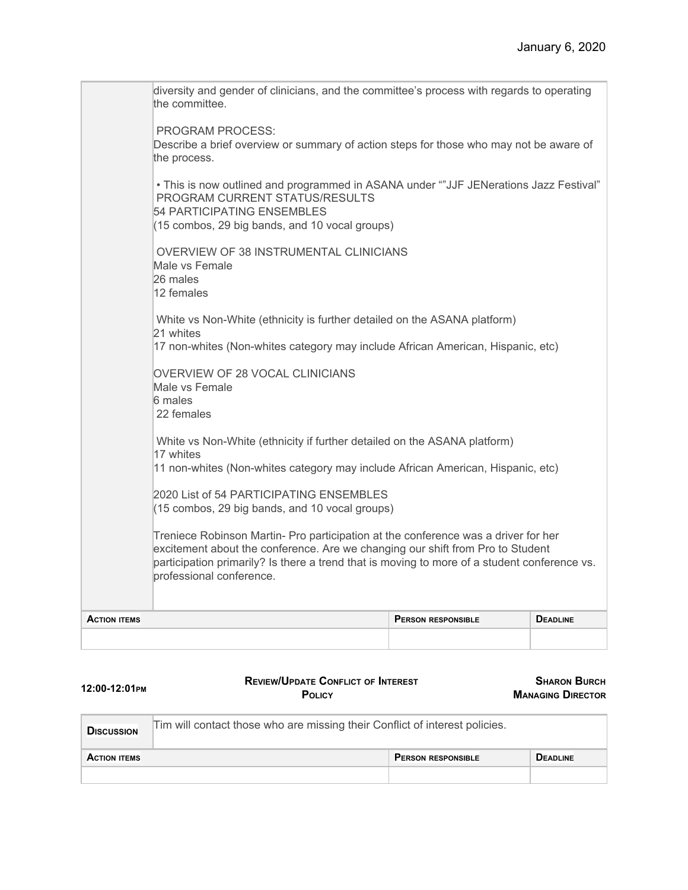|                     | diversity and gender of clinicians, and the committee's process with regards to operating<br>the committee.<br><b>PROGRAM PROCESS:</b><br>Describe a brief overview or summary of action steps for those who may not be aware of<br>the process.<br>• This is now outlined and programmed in ASANA under ""JJF JENerations Jazz Festival"<br>PROGRAM CURRENT STATUS/RESULTS<br>54 PARTICIPATING ENSEMBLES<br>(15 combos, 29 big bands, and 10 vocal groups)<br>OVERVIEW OF 38 INSTRUMENTAL CLINICIANS<br>Male vs Female<br>26 males<br>12 females<br>White vs Non-White (ethnicity is further detailed on the ASANA platform)<br>21 whites |                           |                 |
|---------------------|--------------------------------------------------------------------------------------------------------------------------------------------------------------------------------------------------------------------------------------------------------------------------------------------------------------------------------------------------------------------------------------------------------------------------------------------------------------------------------------------------------------------------------------------------------------------------------------------------------------------------------------------|---------------------------|-----------------|
|                     | 17 non-whites (Non-whites category may include African American, Hispanic, etc)                                                                                                                                                                                                                                                                                                                                                                                                                                                                                                                                                            |                           |                 |
|                     | OVERVIEW OF 28 VOCAL CLINICIANS<br>Male vs Female<br>6 males<br>22 females                                                                                                                                                                                                                                                                                                                                                                                                                                                                                                                                                                 |                           |                 |
|                     | White vs Non-White (ethnicity if further detailed on the ASANA platform)<br>17 whites                                                                                                                                                                                                                                                                                                                                                                                                                                                                                                                                                      |                           |                 |
|                     | 11 non-whites (Non-whites category may include African American, Hispanic, etc)                                                                                                                                                                                                                                                                                                                                                                                                                                                                                                                                                            |                           |                 |
|                     | 2020 List of 54 PARTICIPATING ENSEMBLES<br>(15 combos, 29 big bands, and 10 vocal groups)                                                                                                                                                                                                                                                                                                                                                                                                                                                                                                                                                  |                           |                 |
|                     | Treniece Robinson Martin- Pro participation at the conference was a driver for her<br>excitement about the conference. Are we changing our shift from Pro to Student<br>participation primarily? Is there a trend that is moving to more of a student conference vs.<br>professional conference.                                                                                                                                                                                                                                                                                                                                           |                           |                 |
| <b>ACTION ITEMS</b> |                                                                                                                                                                                                                                                                                                                                                                                                                                                                                                                                                                                                                                            | <b>PERSON RESPONSIBLE</b> | <b>DEADLINE</b> |
|                     |                                                                                                                                                                                                                                                                                                                                                                                                                                                                                                                                                                                                                                            |                           |                 |

| 12:00-12:01PM       | <b>REVIEW/UPDATE CONFLICT OF INTEREST</b><br>POLICY                         |                           | <b>SHARON BURCH</b><br><b>MANAGING DIRECTOR</b> |
|---------------------|-----------------------------------------------------------------------------|---------------------------|-------------------------------------------------|
| <b>DISCUSSION</b>   | Tim will contact those who are missing their Conflict of interest policies. |                           |                                                 |
| <b>ACTION ITEMS</b> |                                                                             | <b>PERSON RESPONSIBLE</b> | <b>DEADLINE</b>                                 |
|                     |                                                                             |                           |                                                 |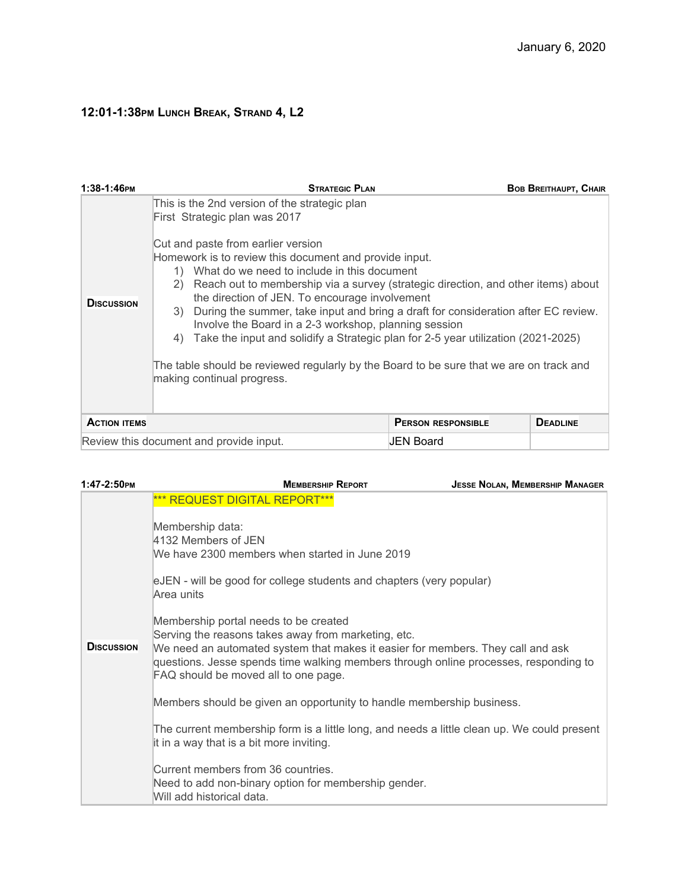# **12:01-1:38PM LUNCH BREAK, STRAND 4, L2**

| 1:38-1:46РМ         | <b>STRATEGIC PLAN</b>                                                                                                                                                                                                                                                                                                                                                                                                                                                                                                                                                                                                                                                                                                                                  |                           | <b>BOB BREITHAUPT, CHAIR</b> |
|---------------------|--------------------------------------------------------------------------------------------------------------------------------------------------------------------------------------------------------------------------------------------------------------------------------------------------------------------------------------------------------------------------------------------------------------------------------------------------------------------------------------------------------------------------------------------------------------------------------------------------------------------------------------------------------------------------------------------------------------------------------------------------------|---------------------------|------------------------------|
| <b>DISCUSSION</b>   | This is the 2nd version of the strategic plan<br>First Strategic plan was 2017<br>Cut and paste from earlier version<br>Homework is to review this document and provide input.<br>1) What do we need to include in this document<br>Reach out to membership via a survey (strategic direction, and other items) about<br>2)<br>the direction of JEN. To encourage involvement<br>During the summer, take input and bring a draft for consideration after EC review.<br>3)<br>Involve the Board in a 2-3 workshop, planning session<br>Take the input and solidify a Strategic plan for 2-5 year utilization (2021-2025)<br>4)<br>The table should be reviewed regularly by the Board to be sure that we are on track and<br>making continual progress. |                           |                              |
| <b>ACTION ITEMS</b> |                                                                                                                                                                                                                                                                                                                                                                                                                                                                                                                                                                                                                                                                                                                                                        | <b>PERSON RESPONSIBLE</b> | <b>DEADLINE</b>              |
|                     | Review this document and provide input.                                                                                                                                                                                                                                                                                                                                                                                                                                                                                                                                                                                                                                                                                                                | JEN Board                 |                              |

| 1:47-2:50PM       | <b>MEMBERSHIP REPORT</b>                                                                                                                                                                                                                                                                                        | <b>JESSE NOLAN, MEMBERSHIP MANAGER</b> |
|-------------------|-----------------------------------------------------------------------------------------------------------------------------------------------------------------------------------------------------------------------------------------------------------------------------------------------------------------|----------------------------------------|
|                   | <b>*** REQUEST DIGITAL REPORT***</b><br>Membership data:<br>4132 Members of JEN<br>We have 2300 members when started in June 2019<br>eJEN - will be good for college students and chapters (very popular)<br>Area units                                                                                         |                                        |
| <b>DISCUSSION</b> | Membership portal needs to be created<br>Serving the reasons takes away from marketing, etc.<br>We need an automated system that makes it easier for members. They call and ask<br>questions. Jesse spends time walking members through online processes, responding to<br>FAQ should be moved all to one page. |                                        |
|                   | Members should be given an opportunity to handle membership business.                                                                                                                                                                                                                                           |                                        |
|                   | The current membership form is a little long, and needs a little clean up. We could present<br>it in a way that is a bit more inviting.                                                                                                                                                                         |                                        |
|                   | Current members from 36 countries.<br>Need to add non-binary option for membership gender.<br>Will add historical data.                                                                                                                                                                                         |                                        |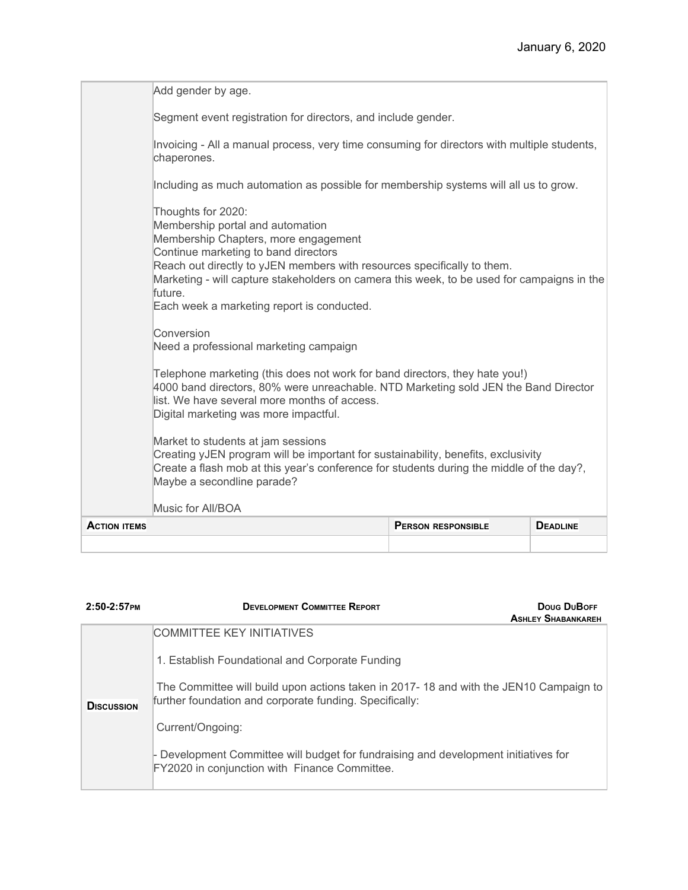| <b>ACTION ITEMS</b> |                                                                                                                                                                                                                                                                                                                                                                          | <b>PERSON RESPONSIBLE</b> | <b>DEADLINE</b> |
|---------------------|--------------------------------------------------------------------------------------------------------------------------------------------------------------------------------------------------------------------------------------------------------------------------------------------------------------------------------------------------------------------------|---------------------------|-----------------|
|                     | Music for All/BOA                                                                                                                                                                                                                                                                                                                                                        |                           |                 |
|                     | Market to students at jam sessions<br>Creating yJEN program will be important for sustainability, benefits, exclusivity<br>Create a flash mob at this year's conference for students during the middle of the day?,<br>Maybe a secondline parade?                                                                                                                        |                           |                 |
|                     | Telephone marketing (this does not work for band directors, they hate you!)<br>4000 band directors, 80% were unreachable. NTD Marketing sold JEN the Band Director<br>list. We have several more months of access.<br>Digital marketing was more impactful.                                                                                                              |                           |                 |
|                     | Conversion<br>Need a professional marketing campaign                                                                                                                                                                                                                                                                                                                     |                           |                 |
|                     | Thoughts for 2020:<br>Membership portal and automation<br>Membership Chapters, more engagement<br>Continue marketing to band directors<br>Reach out directly to yJEN members with resources specifically to them.<br>Marketing - will capture stakeholders on camera this week, to be used for campaigns in the<br>future.<br>Each week a marketing report is conducted. |                           |                 |
|                     | Including as much automation as possible for membership systems will all us to grow.                                                                                                                                                                                                                                                                                     |                           |                 |
|                     | Invoicing - All a manual process, very time consuming for directors with multiple students,<br>chaperones.                                                                                                                                                                                                                                                               |                           |                 |
|                     | Segment event registration for directors, and include gender.                                                                                                                                                                                                                                                                                                            |                           |                 |
|                     | Add gender by age.                                                                                                                                                                                                                                                                                                                                                       |                           |                 |

| $2:50-2:57$ PM    | <b>DEVELOPMENT COMMITTEE REPORT</b><br>Doug DuBoFF<br><b>ASHLEY SHABANKAREH</b>                                                                  |
|-------------------|--------------------------------------------------------------------------------------------------------------------------------------------------|
|                   | <b>COMMITTEE KEY INITIATIVES</b>                                                                                                                 |
|                   | 1. Establish Foundational and Corporate Funding                                                                                                  |
| <b>DISCUSSION</b> | The Committee will build upon actions taken in 2017-18 and with the JEN10 Campaign to<br>further foundation and corporate funding. Specifically: |
|                   | Current/Ongoing:                                                                                                                                 |
|                   | - Development Committee will budget for fundraising and development initiatives for<br>FY2020 in conjunction with Finance Committee.             |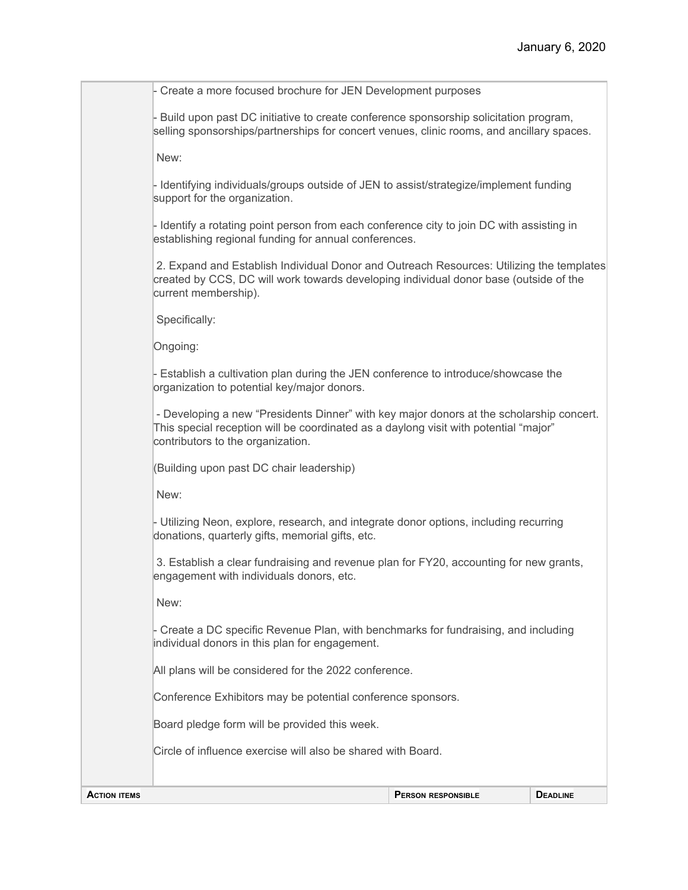- Create a more focused brochure for JEN Development purposes

- Build upon past DC initiative to create conference sponsorship solicitation program, selling sponsorships/partnerships for concert venues, clinic rooms, and ancillary spaces.

New:

- Identifying individuals/groups outside of JEN to assist/strategize/implement funding support for the organization.

- Identify a rotating point person from each conference city to join DC with assisting in establishing regional funding for annual conferences.

2. Expand and Establish Individual Donor and Outreach Resources: Utilizing the templates created by CCS, DC will work towards developing individual donor base (outside of the current membership).

Specifically:

Ongoing:

- Establish a cultivation plan during the JEN conference to introduce/showcase the organization to potential key/major donors.

- Developing a new "Presidents Dinner" with key major donors at the scholarship concert. This special reception will be coordinated as a daylong visit with potential "major" contributors to the organization.

(Building upon past DC chair leadership)

New:

- Utilizing Neon, explore, research, and integrate donor options, including recurring donations, quarterly gifts, memorial gifts, etc.

3. Establish a clear fundraising and revenue plan for FY20, accounting for new grants, engagement with individuals donors, etc.

New:

- Create a DC specific Revenue Plan, with benchmarks for fundraising, and including individual donors in this plan for engagement.

All plans will be considered for the 2022 conference.

Conference Exhibitors may be potential conference sponsors.

Board pledge form will be provided this week.

Circle of influence exercise will also be shared with Board.

**ACTION ITEMS PERSON RESPONSIBLE DEADLINE**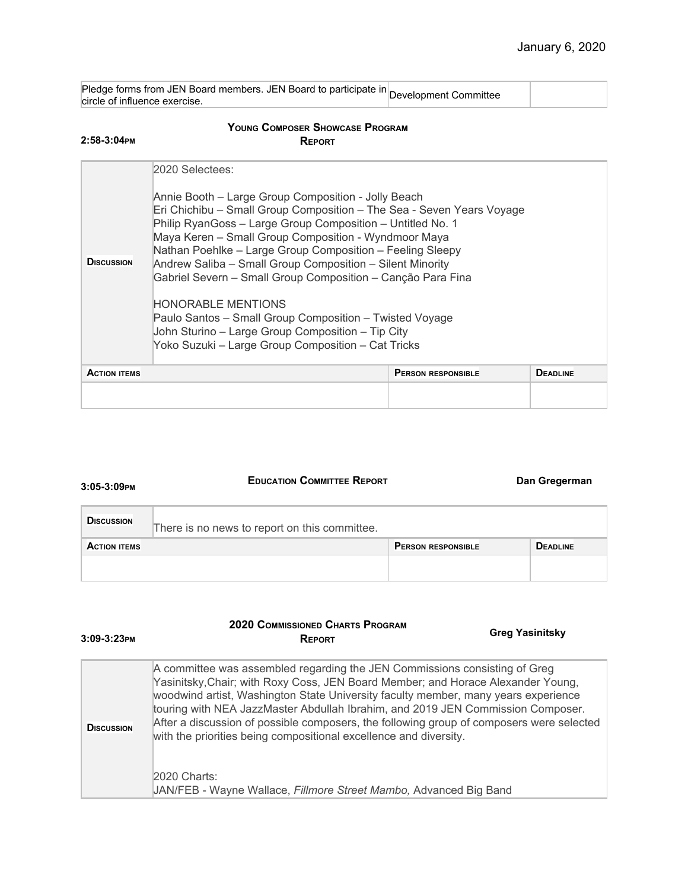| $\alpha$ iedge forms from JEN Board members. JEN Board to participate in Development Committee<br>circle of influence exercise. |  |
|---------------------------------------------------------------------------------------------------------------------------------|--|
|                                                                                                                                 |  |

#### **YOUNG COMPOSER SHOWCASE PROGRAM REPORT**

| <b>DISCUSSION</b>   | 2020 Selectees:<br>Annie Booth - Large Group Composition - Jolly Beach<br>Eri Chichibu – Small Group Composition – The Sea - Seven Years Voyage<br>Philip RyanGoss - Large Group Composition - Untitled No. 1<br>Maya Keren - Small Group Composition - Wyndmoor Maya<br>Nathan Poehlke - Large Group Composition - Feeling Sleepy<br>Andrew Saliba - Small Group Composition - Silent Minority<br>Gabriel Severn - Small Group Composition - Canção Para Fina<br><b>HONORABLE MENTIONS</b><br>Paulo Santos - Small Group Composition - Twisted Voyage<br>John Sturino - Large Group Composition - Tip City<br>Yoko Suzuki - Large Group Composition - Cat Tricks |                           |                 |
|---------------------|-------------------------------------------------------------------------------------------------------------------------------------------------------------------------------------------------------------------------------------------------------------------------------------------------------------------------------------------------------------------------------------------------------------------------------------------------------------------------------------------------------------------------------------------------------------------------------------------------------------------------------------------------------------------|---------------------------|-----------------|
| <b>ACTION ITEMS</b> |                                                                                                                                                                                                                                                                                                                                                                                                                                                                                                                                                                                                                                                                   | <b>PERSON RESPONSIBLE</b> | <b>DEADLINE</b> |
|                     |                                                                                                                                                                                                                                                                                                                                                                                                                                                                                                                                                                                                                                                                   |                           |                 |

#### **3:05-3:09PM**

**3:09-3:23PM**

**2:58-3:04PM**

### **EDUCATION COMMITTEE REPORT Dan Gregerman**

| <b>DISCUSSION</b>   | There is no news to report on this committee. |                           |                 |
|---------------------|-----------------------------------------------|---------------------------|-----------------|
| <b>ACTION ITEMS</b> |                                               | <b>PERSON RESPONSIBLE</b> | <b>DEADLINE</b> |
|                     |                                               |                           |                 |

#### **2020 COMMISSIONED CHARTS PROGRAM REPORT**

#### **Greg Yasinitsky**

| <b>DISCUSSION</b> | A committee was assembled regarding the JEN Commissions consisting of Greg<br>Yasinitsky, Chair; with Roxy Coss, JEN Board Member; and Horace Alexander Young,<br>woodwind artist, Washington State University faculty member, many years experience<br>touring with NEA JazzMaster Abdullah Ibrahim, and 2019 JEN Commission Composer.<br>After a discussion of possible composers, the following group of composers were selected<br>with the priorities being compositional excellence and diversity.<br>2020 Charts:<br>JAN/FEB - Wayne Wallace, Fillmore Street Mambo, Advanced Big Band |
|-------------------|-----------------------------------------------------------------------------------------------------------------------------------------------------------------------------------------------------------------------------------------------------------------------------------------------------------------------------------------------------------------------------------------------------------------------------------------------------------------------------------------------------------------------------------------------------------------------------------------------|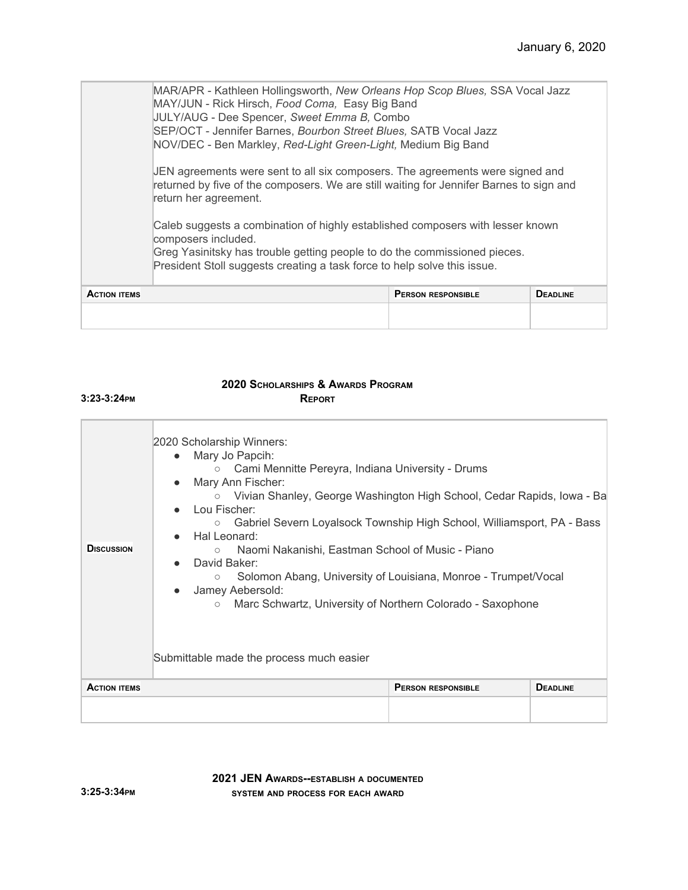MAR/APR - Kathleen Hollingsworth, *New Orleans Hop Scop Blues,* SSA Vocal Jazz MAY/JUN - Rick Hirsch, *Food Coma,* Easy Big Band JULY/AUG - Dee Spencer, *Sweet Emma B,* Combo SEP/OCT - Jennifer Barnes, *Bourbon Street Blues,* SATB Vocal Jazz NOV/DEC - Ben Markley, *Red-Light Green-Light,* Medium Big Band JEN agreements were sent to all six composers. The agreements were signed and returned by five of the composers. We are still waiting for Jennifer Barnes to sign and return her agreement. Caleb suggests a combination of highly established composers with lesser known composers included.

Greg Yasinitsky has trouble getting people to do the commissioned pieces. President Stoll suggests creating a task force to help solve this issue.

| <b>ACTION ITEMS</b> | <b>PERSON RESPONSIBLE</b> | <b>DEADLINE</b> |
|---------------------|---------------------------|-----------------|
|                     |                           |                 |

#### **2020 SCHOLARSHIPS & AWARDS PROGRAM REPORT**

| <b>D</b> ISCUSSION  | 2020 Scholarship Winners:<br>Mary Jo Papcih:<br>$\bullet$<br>Cami Mennitte Pereyra, Indiana University - Drums<br>$\circ$<br>Mary Ann Fischer:<br>○ Vivian Shanley, George Washington High School, Cedar Rapids, Iowa - Ba<br>Lou Fischer:<br>Gabriel Severn Loyalsock Township High School, Williamsport, PA - Bass<br>$\circ$<br>Hal Leonard:<br>Naomi Nakanishi, Eastman School of Music - Piano<br>$\circ$<br>David Baker:<br>Solomon Abang, University of Louisiana, Monroe - Trumpet/Vocal<br>$\circ$<br>Jamey Aebersold:<br>Marc Schwartz, University of Northern Colorado - Saxophone<br>$\circ$<br>Submittable made the process much easier |                           |                 |
|---------------------|------------------------------------------------------------------------------------------------------------------------------------------------------------------------------------------------------------------------------------------------------------------------------------------------------------------------------------------------------------------------------------------------------------------------------------------------------------------------------------------------------------------------------------------------------------------------------------------------------------------------------------------------------|---------------------------|-----------------|
| <b>ACTION ITEMS</b> |                                                                                                                                                                                                                                                                                                                                                                                                                                                                                                                                                                                                                                                      | <b>PERSON RESPONSIBLE</b> | <b>DEADLINE</b> |

**2021 JEN AWARDS--ESTABLISH <sup>A</sup> DOCUMENTED SYSTEM AND PROCESS FOR EACH AWARD**

**3:23-3:24PM**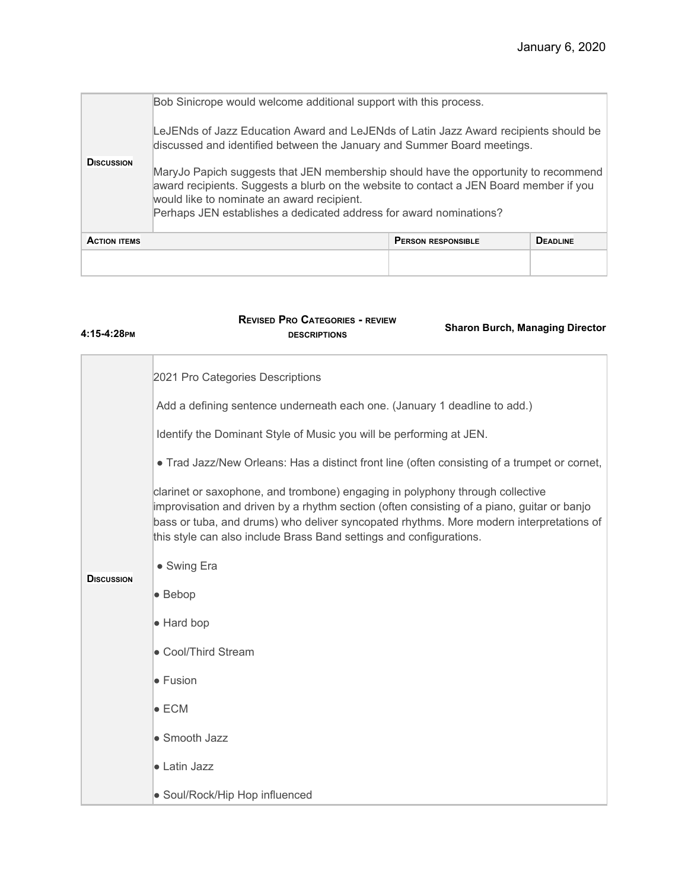|                     | Bob Sinicrope would welcome additional support with this process.<br>LeJENds of Jazz Education Award and LeJENds of Latin Jazz Award recipients should be<br>discussed and identified between the January and Summer Board meetings.                                                              |                           |                 |
|---------------------|---------------------------------------------------------------------------------------------------------------------------------------------------------------------------------------------------------------------------------------------------------------------------------------------------|---------------------------|-----------------|
| <b>DISCUSSION</b>   | MaryJo Papich suggests that JEN membership should have the opportunity to recommend<br>award recipients. Suggests a blurb on the website to contact a JEN Board member if you<br>would like to nominate an award recipient.<br>Perhaps JEN establishes a dedicated address for award nominations? |                           |                 |
| <b>ACTION ITEMS</b> |                                                                                                                                                                                                                                                                                                   | <b>PERSON RESPONSIBLE</b> | <b>DEADLINE</b> |
|                     |                                                                                                                                                                                                                                                                                                   |                           |                 |

| 4:15-4:28рм       | <b>REVISED PRO CATEGORIES - REVIEW</b><br><b>Sharon Burch, Managing Director</b><br><b>DESCRIPTIONS</b>                                                                                                                                                                                                                                                                                                                                                                                                                                                                                                                                                                                                                                   |
|-------------------|-------------------------------------------------------------------------------------------------------------------------------------------------------------------------------------------------------------------------------------------------------------------------------------------------------------------------------------------------------------------------------------------------------------------------------------------------------------------------------------------------------------------------------------------------------------------------------------------------------------------------------------------------------------------------------------------------------------------------------------------|
| <b>DISCUSSION</b> | 2021 Pro Categories Descriptions<br>Add a defining sentence underneath each one. (January 1 deadline to add.)<br>Identify the Dominant Style of Music you will be performing at JEN.<br>. Trad Jazz/New Orleans: Has a distinct front line (often consisting of a trumpet or cornet,<br>clarinet or saxophone, and trombone) engaging in polyphony through collective<br>improvisation and driven by a rhythm section (often consisting of a piano, guitar or banjo<br>bass or tuba, and drums) who deliver syncopated rhythms. More modern interpretations of<br>this style can also include Brass Band settings and configurations.<br>• Swing Era<br>$\bullet$ Bebop<br>• Hard bop<br>• Cool/Third Stream<br>• Fusion<br>$\bullet$ ECM |
|                   | • Smooth Jazz<br>• Latin Jazz                                                                                                                                                                                                                                                                                                                                                                                                                                                                                                                                                                                                                                                                                                             |
|                   | • Soul/Rock/Hip Hop influenced                                                                                                                                                                                                                                                                                                                                                                                                                                                                                                                                                                                                                                                                                                            |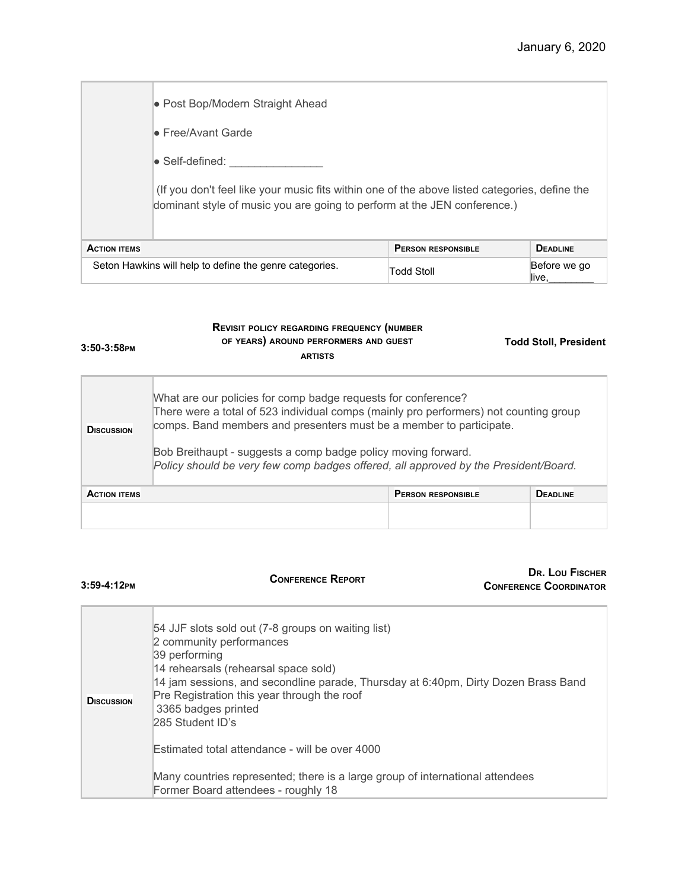|                                                         | • Post Bop/Modern Straight Ahead                                                                                                                                          |                           |                       |
|---------------------------------------------------------|---------------------------------------------------------------------------------------------------------------------------------------------------------------------------|---------------------------|-----------------------|
|                                                         | lo Free/Avant Garde                                                                                                                                                       |                           |                       |
|                                                         | l● Self-defined:                                                                                                                                                          |                           |                       |
|                                                         | (If you don't feel like your music fits within one of the above listed categories, define the<br>dominant style of music you are going to perform at the JEN conference.) |                           |                       |
| <b>ACTION ITEMS</b>                                     |                                                                                                                                                                           | <b>PERSON RESPONSIBLE</b> | <b>DEADLINE</b>       |
| Seton Hawkins will help to define the genre categories. |                                                                                                                                                                           | <b>Todd Stoll</b>         | Before we go<br>live. |

| $3:50-3:58$ PM      | <b>REVISIT POLICY REGARDING FREQUENCY (NUMBER</b><br>OF YEARS) AROUND PERFORMERS AND GUEST<br><b>ARTISTS</b>                                                                                                                                                                                                                                                                          |                           | <b>Todd Stoll, President</b> |
|---------------------|---------------------------------------------------------------------------------------------------------------------------------------------------------------------------------------------------------------------------------------------------------------------------------------------------------------------------------------------------------------------------------------|---------------------------|------------------------------|
| <b>DISCUSSION</b>   | What are our policies for comp badge requests for conference?<br>There were a total of 523 individual comps (mainly pro performers) not counting group<br>comps. Band members and presenters must be a member to participate.<br>Bob Breithaupt - suggests a comp badge policy moving forward.<br>Policy should be very few comp badges offered, all approved by the President/Board. |                           |                              |
| <b>ACTION ITEMS</b> |                                                                                                                                                                                                                                                                                                                                                                                       | <b>PERSON RESPONSIBLE</b> | <b>DEADLINE</b>              |

| $3:59-4:12$ PM    | <b>CONFERENCE REPORT</b>                                                                                                                                                                                                                                                                                                                                                  | DR. LOU FISCHER<br><b>CONFERENCE COORDINATOR</b> |
|-------------------|---------------------------------------------------------------------------------------------------------------------------------------------------------------------------------------------------------------------------------------------------------------------------------------------------------------------------------------------------------------------------|--------------------------------------------------|
| <b>DISCUSSION</b> | 54 JJF slots sold out (7-8 groups on waiting list)<br>2 community performances<br>39 performing<br>14 rehearsals (rehearsal space sold)<br>14 jam sessions, and secondline parade, Thursday at 6:40pm, Dirty Dozen Brass Band<br>Pre Registration this year through the roof<br>3365 badges printed<br>285 Student ID's<br>Estimated total attendance - will be over 4000 |                                                  |
|                   | Many countries represented; there is a large group of international attendees<br>Former Board attendees - roughly 18                                                                                                                                                                                                                                                      |                                                  |